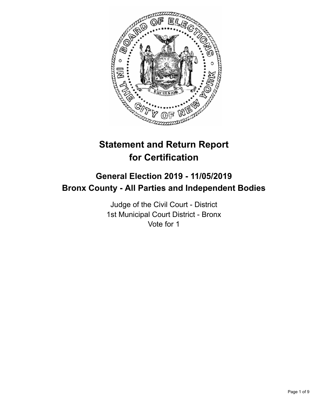

# **Statement and Return Report for Certification**

## **General Election 2019 - 11/05/2019 Bronx County - All Parties and Independent Bodies**

Judge of the Civil Court - District 1st Municipal Court District - Bronx Vote for 1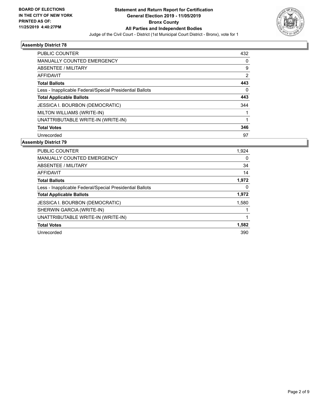

| <b>PUBLIC COUNTER</b>                                    | 432      |
|----------------------------------------------------------|----------|
| <b>MANUALLY COUNTED EMERGENCY</b>                        | 0        |
| ABSENTEE / MILITARY                                      | 9        |
| <b>AFFIDAVIT</b>                                         | 2        |
| <b>Total Ballots</b>                                     | 443      |
| Less - Inapplicable Federal/Special Presidential Ballots | $\Omega$ |
| <b>Total Applicable Ballots</b>                          | 443      |
| <b>JESSICA I. BOURBON (DEMOCRATIC)</b>                   | 344      |
| MILTON WILLIAMS (WRITE-IN)                               |          |
| UNATTRIBUTABLE WRITE-IN (WRITE-IN)                       |          |
| <b>Total Votes</b>                                       | 346      |
| Unrecorded                                               | 97       |

| <b>PUBLIC COUNTER</b>                                    | 1,924 |
|----------------------------------------------------------|-------|
| <b>MANUALLY COUNTED EMERGENCY</b>                        | 0     |
| ABSENTEE / MILITARY                                      | 34    |
| <b>AFFIDAVIT</b>                                         | 14    |
| <b>Total Ballots</b>                                     | 1,972 |
| Less - Inapplicable Federal/Special Presidential Ballots | 0     |
| <b>Total Applicable Ballots</b>                          | 1,972 |
| <b>JESSICA I. BOURBON (DEMOCRATIC)</b>                   | 1,580 |
| SHERWIN GARCIA (WRITE-IN)                                |       |
| UNATTRIBUTABLE WRITE-IN (WRITE-IN)                       |       |
| <b>Total Votes</b>                                       | 1,582 |
| Unrecorded                                               | 390   |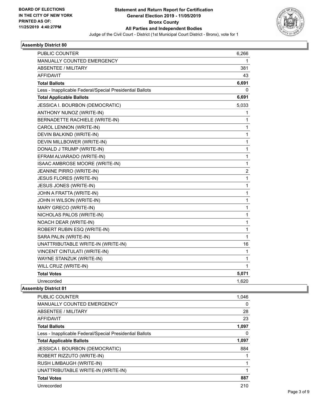

| MANUALLY COUNTED EMERGENCY<br>1<br><b>ABSENTEE / MILITARY</b><br>381<br><b>AFFIDAVIT</b><br>43<br>6,691<br><b>Total Ballots</b><br>0<br>Less - Inapplicable Federal/Special Presidential Ballots<br><b>Total Applicable Ballots</b><br>6,691<br>JESSICA I. BOURBON (DEMOCRATIC)<br>5,033<br>ANTHONY NUNOZ (WRITE-IN)<br>1<br>BERNADETTE RACHIELE (WRITE-IN)<br>1<br>CAROL LENNON (WRITE-IN)<br>1<br>DEVIN BALKIND (WRITE-IN)<br>1<br>DEVIN MILLBOWER (WRITE-IN)<br>1<br>$\mathbf{1}$<br>DONALD J TRUMP (WRITE-IN)<br>EFRAM ALVARADO (WRITE-IN)<br>$\mathbf{1}$<br>$\mathbf{1}$<br>ISAAC AMBROSE MOORE (WRITE-IN)<br>$\overline{\mathbf{c}}$<br><b>JEANINE PIRRO (WRITE-IN)</b><br><b>JESUS FLORES (WRITE-IN)</b><br>1<br>JESUS JONES (WRITE-IN)<br>$\mathbf{1}$<br>$\mathbf{1}$<br>JOHN A FRATTA (WRITE-IN)<br>JOHN H WILSON (WRITE-IN)<br>$\mathbf{1}$<br>$\mathbf{1}$<br>MARY GRECO (WRITE-IN)<br>$\mathbf{1}$<br>NICHOLAS PALOS (WRITE-IN)<br>NOACH DEAR (WRITE-IN)<br>$\mathbf{1}$<br>ROBERT RUBIN ESQ (WRITE-IN)<br>1<br>SARA PALIN (WRITE-IN)<br>1<br>UNATTRIBUTABLE WRITE-IN (WRITE-IN)<br>16<br>VINCENT CINTULATI (WRITE-IN)<br>1<br>WAYNE STANZUK (WRITE-IN)<br>$\mathbf{1}$<br>WILL CRUZ (WRITE-IN)<br>$\mathbf 1$ | PUBLIC COUNTER     | 6,266 |
|------------------------------------------------------------------------------------------------------------------------------------------------------------------------------------------------------------------------------------------------------------------------------------------------------------------------------------------------------------------------------------------------------------------------------------------------------------------------------------------------------------------------------------------------------------------------------------------------------------------------------------------------------------------------------------------------------------------------------------------------------------------------------------------------------------------------------------------------------------------------------------------------------------------------------------------------------------------------------------------------------------------------------------------------------------------------------------------------------------------------------------------------------------------------------------------------------------------------------|--------------------|-------|
|                                                                                                                                                                                                                                                                                                                                                                                                                                                                                                                                                                                                                                                                                                                                                                                                                                                                                                                                                                                                                                                                                                                                                                                                                              |                    |       |
|                                                                                                                                                                                                                                                                                                                                                                                                                                                                                                                                                                                                                                                                                                                                                                                                                                                                                                                                                                                                                                                                                                                                                                                                                              |                    |       |
|                                                                                                                                                                                                                                                                                                                                                                                                                                                                                                                                                                                                                                                                                                                                                                                                                                                                                                                                                                                                                                                                                                                                                                                                                              |                    |       |
|                                                                                                                                                                                                                                                                                                                                                                                                                                                                                                                                                                                                                                                                                                                                                                                                                                                                                                                                                                                                                                                                                                                                                                                                                              |                    |       |
|                                                                                                                                                                                                                                                                                                                                                                                                                                                                                                                                                                                                                                                                                                                                                                                                                                                                                                                                                                                                                                                                                                                                                                                                                              |                    |       |
|                                                                                                                                                                                                                                                                                                                                                                                                                                                                                                                                                                                                                                                                                                                                                                                                                                                                                                                                                                                                                                                                                                                                                                                                                              |                    |       |
|                                                                                                                                                                                                                                                                                                                                                                                                                                                                                                                                                                                                                                                                                                                                                                                                                                                                                                                                                                                                                                                                                                                                                                                                                              |                    |       |
|                                                                                                                                                                                                                                                                                                                                                                                                                                                                                                                                                                                                                                                                                                                                                                                                                                                                                                                                                                                                                                                                                                                                                                                                                              |                    |       |
|                                                                                                                                                                                                                                                                                                                                                                                                                                                                                                                                                                                                                                                                                                                                                                                                                                                                                                                                                                                                                                                                                                                                                                                                                              |                    |       |
|                                                                                                                                                                                                                                                                                                                                                                                                                                                                                                                                                                                                                                                                                                                                                                                                                                                                                                                                                                                                                                                                                                                                                                                                                              |                    |       |
|                                                                                                                                                                                                                                                                                                                                                                                                                                                                                                                                                                                                                                                                                                                                                                                                                                                                                                                                                                                                                                                                                                                                                                                                                              |                    |       |
|                                                                                                                                                                                                                                                                                                                                                                                                                                                                                                                                                                                                                                                                                                                                                                                                                                                                                                                                                                                                                                                                                                                                                                                                                              |                    |       |
|                                                                                                                                                                                                                                                                                                                                                                                                                                                                                                                                                                                                                                                                                                                                                                                                                                                                                                                                                                                                                                                                                                                                                                                                                              |                    |       |
|                                                                                                                                                                                                                                                                                                                                                                                                                                                                                                                                                                                                                                                                                                                                                                                                                                                                                                                                                                                                                                                                                                                                                                                                                              |                    |       |
|                                                                                                                                                                                                                                                                                                                                                                                                                                                                                                                                                                                                                                                                                                                                                                                                                                                                                                                                                                                                                                                                                                                                                                                                                              |                    |       |
|                                                                                                                                                                                                                                                                                                                                                                                                                                                                                                                                                                                                                                                                                                                                                                                                                                                                                                                                                                                                                                                                                                                                                                                                                              |                    |       |
|                                                                                                                                                                                                                                                                                                                                                                                                                                                                                                                                                                                                                                                                                                                                                                                                                                                                                                                                                                                                                                                                                                                                                                                                                              |                    |       |
|                                                                                                                                                                                                                                                                                                                                                                                                                                                                                                                                                                                                                                                                                                                                                                                                                                                                                                                                                                                                                                                                                                                                                                                                                              |                    |       |
|                                                                                                                                                                                                                                                                                                                                                                                                                                                                                                                                                                                                                                                                                                                                                                                                                                                                                                                                                                                                                                                                                                                                                                                                                              |                    |       |
|                                                                                                                                                                                                                                                                                                                                                                                                                                                                                                                                                                                                                                                                                                                                                                                                                                                                                                                                                                                                                                                                                                                                                                                                                              |                    |       |
|                                                                                                                                                                                                                                                                                                                                                                                                                                                                                                                                                                                                                                                                                                                                                                                                                                                                                                                                                                                                                                                                                                                                                                                                                              |                    |       |
|                                                                                                                                                                                                                                                                                                                                                                                                                                                                                                                                                                                                                                                                                                                                                                                                                                                                                                                                                                                                                                                                                                                                                                                                                              |                    |       |
|                                                                                                                                                                                                                                                                                                                                                                                                                                                                                                                                                                                                                                                                                                                                                                                                                                                                                                                                                                                                                                                                                                                                                                                                                              |                    |       |
|                                                                                                                                                                                                                                                                                                                                                                                                                                                                                                                                                                                                                                                                                                                                                                                                                                                                                                                                                                                                                                                                                                                                                                                                                              |                    |       |
|                                                                                                                                                                                                                                                                                                                                                                                                                                                                                                                                                                                                                                                                                                                                                                                                                                                                                                                                                                                                                                                                                                                                                                                                                              |                    |       |
|                                                                                                                                                                                                                                                                                                                                                                                                                                                                                                                                                                                                                                                                                                                                                                                                                                                                                                                                                                                                                                                                                                                                                                                                                              |                    |       |
|                                                                                                                                                                                                                                                                                                                                                                                                                                                                                                                                                                                                                                                                                                                                                                                                                                                                                                                                                                                                                                                                                                                                                                                                                              |                    |       |
|                                                                                                                                                                                                                                                                                                                                                                                                                                                                                                                                                                                                                                                                                                                                                                                                                                                                                                                                                                                                                                                                                                                                                                                                                              |                    |       |
|                                                                                                                                                                                                                                                                                                                                                                                                                                                                                                                                                                                                                                                                                                                                                                                                                                                                                                                                                                                                                                                                                                                                                                                                                              |                    |       |
|                                                                                                                                                                                                                                                                                                                                                                                                                                                                                                                                                                                                                                                                                                                                                                                                                                                                                                                                                                                                                                                                                                                                                                                                                              | <b>Total Votes</b> | 5,071 |
| Unrecorded<br>1,620                                                                                                                                                                                                                                                                                                                                                                                                                                                                                                                                                                                                                                                                                                                                                                                                                                                                                                                                                                                                                                                                                                                                                                                                          |                    |       |

| <b>PUBLIC COUNTER</b>                                    | 1,046 |
|----------------------------------------------------------|-------|
| <b>MANUALLY COUNTED EMERGENCY</b>                        | 0     |
| ABSENTEE / MILITARY                                      | 28    |
| AFFIDAVIT                                                | 23    |
| <b>Total Ballots</b>                                     | 1,097 |
| Less - Inapplicable Federal/Special Presidential Ballots | 0     |
| <b>Total Applicable Ballots</b>                          | 1,097 |
| <b>JESSICA I. BOURBON (DEMOCRATIC)</b>                   | 884   |
| ROBERT RIZZUTO (WRITE-IN)                                |       |
| RUSH LIMBAUGH (WRITE-IN)                                 | 1     |
| UNATTRIBUTABLE WRITE-IN (WRITE-IN)                       | 1     |
| <b>Total Votes</b>                                       | 887   |
| Unrecorded                                               | 210   |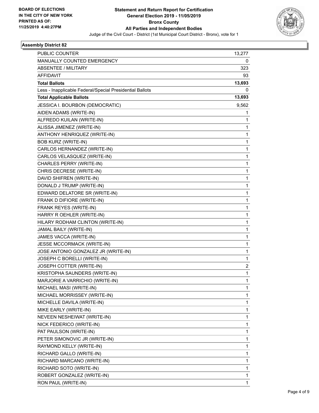

| PUBLIC COUNTER                                           | 13,277 |
|----------------------------------------------------------|--------|
| MANUALLY COUNTED EMERGENCY                               | 0      |
| <b>ABSENTEE / MILITARY</b>                               | 323    |
| <b>AFFIDAVIT</b>                                         | 93     |
| <b>Total Ballots</b>                                     | 13,693 |
| Less - Inapplicable Federal/Special Presidential Ballots | 0      |
| <b>Total Applicable Ballots</b>                          | 13,693 |
| JESSICA I. BOURBON (DEMOCRATIC)                          | 9,562  |
| AIDEN ADAMS (WRITE-IN)                                   | 1      |
| ALFREDO KUILAN (WRITE-IN)                                | 1      |
| ALISSA JIMENEZ (WRITE-IN)                                | 1      |
| ANTHONY HENRIQUEZ (WRITE-IN)                             | 1      |
| <b>BOB KURZ (WRITE-IN)</b>                               | 1      |
| CARLOS HERNANDEZ (WRITE-IN)                              | 1      |
| CARLOS VELASQUEZ (WRITE-IN)                              | 1      |
| CHARLES PERRY (WRITE-IN)                                 | 1      |
| CHRIS DECRESE (WRITE-IN)                                 | 1      |
| DAVID SHIFREN (WRITE-IN)                                 | 1      |
| DONALD J TRUMP (WRITE-IN)                                | 1      |
| EDWARD DELATORE SR (WRITE-IN)                            | 1      |
| FRANK D DIFIORE (WRITE-IN)                               | 1      |
| FRANK REYES (WRITE-IN)                                   | 1      |
| HARRY R OEHLER (WRITE-IN)                                | 1      |
| HILARY RODHAM CLINTON (WRITE-IN)                         | 1      |
| JAMAL BAILY (WRITE-IN)                                   | 1      |
| JAMES VACCA (WRITE-IN)                                   | 1      |
| JESSE MCCORMACK (WRITE-IN)                               | 1      |
| JOSE ANTONIO GONZALEZ JR (WRITE-IN)                      | 1      |
| JOSEPH C BORELLI (WRITE-IN)                              | 1      |
| JOSEPH COTTER (WRITE-IN)                                 | 2      |
| KRISTOPHA SAUNDERS (WRITE-IN)                            | 1      |
| MARJORIE A VARRICHIO (WRITE-IN)                          | 1      |
| MICHAEL MASI (WRITE-IN)                                  | 1      |
| MICHAEL MORRISSEY (WRITE-IN)                             | 1      |
| MICHELLE DAVILA (WRITE-IN)                               | 1      |
| MIKE EARLY (WRITE-IN)                                    | 1      |
| NEVEEN NESHEIWAT (WRITE-IN)                              | 1      |
| NICK FEDERICO (WRITE-IN)                                 | 1      |
| PAT PAULSON (WRITE-IN)                                   | 1      |
| PETER SIMONOVIC JR (WRITE-IN)                            | 1      |
| RAYMOND KELLY (WRITE-IN)                                 | 1      |
| RICHARD GALLO (WRITE-IN)                                 | 1      |
| RICHARD MARCANO (WRITE-IN)                               | 1      |
| RICHARD SOTO (WRITE-IN)                                  | 1      |
| ROBERT GONZALEZ (WRITE-IN)                               | 1      |
| RON PAUL (WRITE-IN)                                      | 1      |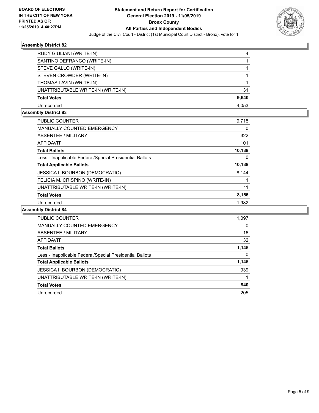

| RUDY GIULIANI (WRITE-IN)           | 4     |
|------------------------------------|-------|
| SANTINO DEFRANCO (WRITE-IN)        |       |
| STEVE GALLO (WRITE-IN)             |       |
| STEVEN CROWDER (WRITE-IN)          |       |
| THOMAS LAVIN (WRITE-IN)            |       |
| UNATTRIBUTABLE WRITE-IN (WRITE-IN) | 31    |
| <b>Total Votes</b>                 | 9,640 |
| Unrecorded                         | 4,053 |

## **Assembly District 83**

| <b>PUBLIC COUNTER</b>                                    | 9.715    |
|----------------------------------------------------------|----------|
| <b>MANUALLY COUNTED EMERGENCY</b>                        | 0        |
| ABSENTEE / MILITARY                                      | 322      |
| AFFIDAVIT                                                | 101      |
| <b>Total Ballots</b>                                     | 10,138   |
| Less - Inapplicable Federal/Special Presidential Ballots | $\Omega$ |
| <b>Total Applicable Ballots</b>                          | 10,138   |
| <b>JESSICA I. BOURBON (DEMOCRATIC)</b>                   | 8,144    |
| FELICIA M. CRISPINO (WRITE-IN)                           |          |
| UNATTRIBUTABLE WRITE-IN (WRITE-IN)                       | 11       |
| <b>Total Votes</b>                                       | 8,156    |
| Unrecorded                                               | 1,982    |

| <b>PUBLIC COUNTER</b>                                    | 1,097    |
|----------------------------------------------------------|----------|
| <b>MANUALLY COUNTED EMERGENCY</b>                        | $\Omega$ |
| ABSENTEE / MILITARY                                      | 16       |
| <b>AFFIDAVIT</b>                                         | 32       |
| <b>Total Ballots</b>                                     | 1,145    |
| Less - Inapplicable Federal/Special Presidential Ballots | 0        |
| <b>Total Applicable Ballots</b>                          | 1,145    |
| <b>JESSICA I. BOURBON (DEMOCRATIC)</b>                   | 939      |
| UNATTRIBUTABLE WRITE-IN (WRITE-IN)                       |          |
| <b>Total Votes</b>                                       | 940      |
| Unrecorded                                               | 205      |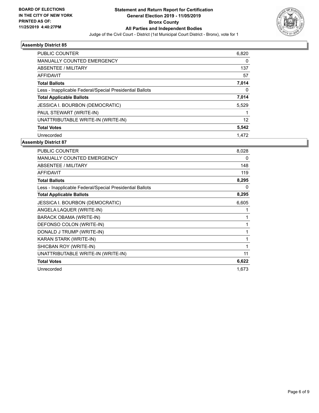

| <b>PUBLIC COUNTER</b>                                    | 6,820 |
|----------------------------------------------------------|-------|
| <b>MANUALLY COUNTED EMERGENCY</b>                        | 0     |
| ABSENTEE / MILITARY                                      | 137   |
| AFFIDAVIT                                                | 57    |
| <b>Total Ballots</b>                                     | 7,014 |
| Less - Inapplicable Federal/Special Presidential Ballots | 0     |
| <b>Total Applicable Ballots</b>                          | 7,014 |
| JESSICA I. BOURBON (DEMOCRATIC)                          | 5,529 |
| PAUL STEWART (WRITE-IN)                                  |       |
| UNATTRIBUTABLE WRITE-IN (WRITE-IN)                       | 12    |
| <b>Total Votes</b>                                       | 5,542 |
| Unrecorded                                               | 1.472 |

| <b>PUBLIC COUNTER</b>                                    | 8,028 |
|----------------------------------------------------------|-------|
| MANUALLY COUNTED EMERGENCY                               | 0     |
| ABSENTEE / MILITARY                                      | 148   |
| <b>AFFIDAVIT</b>                                         | 119   |
| <b>Total Ballots</b>                                     | 8,295 |
| Less - Inapplicable Federal/Special Presidential Ballots | 0     |
| <b>Total Applicable Ballots</b>                          | 8,295 |
| JESSICA I. BOURBON (DEMOCRATIC)                          | 6,605 |
| ANGELA LAQUER (WRITE-IN)                                 | 1     |
| <b>BARACK OBAMA (WRITE-IN)</b>                           | 1     |
| DEFONSO COLON (WRITE-IN)                                 | 1     |
| DONALD J TRUMP (WRITE-IN)                                | 1     |
| KARAN STARK (WRITE-IN)                                   | 1     |
| SHICBAN ROY (WRITE-IN)                                   | 1     |
| UNATTRIBUTABLE WRITE-IN (WRITE-IN)                       | 11    |
| <b>Total Votes</b>                                       | 6,622 |
| Unrecorded                                               | 1,673 |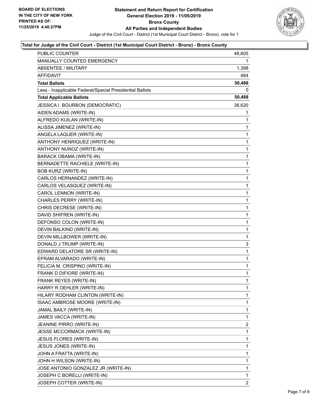

#### **Total for Judge of the Civil Court - District (1st Municipal Court District - Bronx) - Bronx County**

| <b>PUBLIC COUNTER</b>                                    | 48,605 |
|----------------------------------------------------------|--------|
| MANUALLY COUNTED EMERGENCY                               | 1      |
| <b>ABSENTEE / MILITARY</b>                               | 1,398  |
| AFFIDAVIT                                                | 484    |
| <b>Total Ballots</b>                                     | 50,488 |
| Less - Inapplicable Federal/Special Presidential Ballots | 0      |
| <b>Total Applicable Ballots</b>                          | 50,488 |
| JESSICA I. BOURBON (DEMOCRATIC)                          | 38,620 |
| AIDEN ADAMS (WRITE-IN)                                   | 1      |
| ALFREDO KUILAN (WRITE-IN)                                | 1      |
| ALISSA JIMENEZ (WRITE-IN)                                | 1      |
| ANGELA LAQUER (WRITE-IN)                                 | 1      |
| ANTHONY HENRIQUEZ (WRITE-IN)                             | 1      |
| ANTHONY NUNOZ (WRITE-IN)                                 | 1      |
| BARACK OBAMA (WRITE-IN)                                  | 1      |
| BERNADETTE RACHIELE (WRITE-IN)                           | 1      |
| <b>BOB KURZ (WRITE-IN)</b>                               | 1      |
| CARLOS HERNANDEZ (WRITE-IN)                              | 1      |
| CARLOS VELASQUEZ (WRITE-IN)                              | 1      |
| CAROL LENNON (WRITE-IN)                                  | 1      |
| CHARLES PERRY (WRITE-IN)                                 | 1      |
| CHRIS DECRESE (WRITE-IN)                                 | 1      |
| DAVID SHIFREN (WRITE-IN)                                 | 1      |
| DEFONSO COLON (WRITE-IN)                                 | 1      |
| DEVIN BALKIND (WRITE-IN)                                 | 1      |
| DEVIN MILLBOWER (WRITE-IN)                               | 1      |
| DONALD J TRUMP (WRITE-IN)                                | 3      |
| EDWARD DELATORE SR (WRITE-IN)                            | 1      |
| EFRAM ALVARADO (WRITE-IN)                                | 1      |
| FELICIA M. CRISPINO (WRITE-IN)                           | 1      |
| FRANK D DIFIORE (WRITE-IN)                               | 1      |
| FRANK REYES (WRITE-IN)                                   | 1      |
| HARRY R OEHLER (WRITE-IN)                                | 1      |
| HILARY RODHAM CLINTON (WRITE-IN)                         | 1      |
| ISAAC AMBROSE MOORE (WRITE-IN)                           | 1      |
| JAMAL BAILY (WRITE-IN)                                   | 1      |
| JAMES VACCA (WRITE-IN)                                   | 1      |
| <b>JEANINE PIRRO (WRITE-IN)</b>                          | 2      |
| JESSE MCCORMACK (WRITE-IN)                               | 1      |
| JESUS FLORES (WRITE-IN)                                  | 1      |
| JESUS JONES (WRITE-IN)                                   | 1      |
| JOHN A FRATTA (WRITE-IN)                                 | 1      |
| JOHN H WILSON (WRITE-IN)                                 | 1      |
| JOSE ANTONIO GONZALEZ JR (WRITE-IN)                      | 1      |
| JOSEPH C BORELLI (WRITE-IN)                              | 1      |
| JOSEPH COTTER (WRITE-IN)                                 | 2      |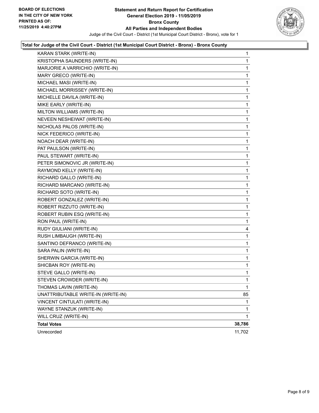

#### **Total for Judge of the Civil Court - District (1st Municipal Court District - Bronx) - Bronx County**

| KARAN STARK (WRITE-IN)             | 1           |
|------------------------------------|-------------|
| KRISTOPHA SAUNDERS (WRITE-IN)      | 1           |
| MARJORIE A VARRICHIO (WRITE-IN)    | 1           |
| MARY GRECO (WRITE-IN)              | 1           |
| MICHAEL MASI (WRITE-IN)            | 1           |
| MICHAEL MORRISSEY (WRITE-IN)       | 1           |
| MICHELLE DAVILA (WRITE-IN)         | 1           |
| MIKE EARLY (WRITE-IN)              | 1           |
| MILTON WILLIAMS (WRITE-IN)         | 1           |
| NEVEEN NESHEIWAT (WRITE-IN)        | 1           |
| NICHOLAS PALOS (WRITE-IN)          | 1           |
| NICK FEDERICO (WRITE-IN)           | 1           |
| NOACH DEAR (WRITE-IN)              | 1           |
| PAT PAULSON (WRITE-IN)             | 1           |
| PAUL STEWART (WRITE-IN)            | 1           |
| PETER SIMONOVIC JR (WRITE-IN)      | 1           |
| RAYMOND KELLY (WRITE-IN)           | 1           |
| RICHARD GALLO (WRITE-IN)           | 1           |
| RICHARD MARCANO (WRITE-IN)         | 1           |
| RICHARD SOTO (WRITE-IN)            | 1           |
| ROBERT GONZALEZ (WRITE-IN)         | 1           |
| ROBERT RIZZUTO (WRITE-IN)          | 1           |
| ROBERT RUBIN ESQ (WRITE-IN)        | 1           |
| RON PAUL (WRITE-IN)                | 1           |
| RUDY GIULIANI (WRITE-IN)           | 4           |
| RUSH LIMBAUGH (WRITE-IN)           | 1           |
| SANTINO DEFRANCO (WRITE-IN)        | 1           |
| SARA PALIN (WRITE-IN)              | 1           |
| SHERWIN GARCIA (WRITE-IN)          | 1           |
| SHICBAN ROY (WRITE-IN)             | 1           |
| STEVE GALLO (WRITE-IN)             | 1           |
| STEVEN CROWDER (WRITE-IN)          | 1           |
| THOMAS LAVIN (WRITE-IN)            | $\mathbf 1$ |
| UNATTRIBUTABLE WRITE-IN (WRITE-IN) | 85          |
| VINCENT CINTULATI (WRITE-IN)       | 1           |
| WAYNE STANZUK (WRITE-IN)           | 1           |
| WILL CRUZ (WRITE-IN)               | 1           |
| <b>Total Votes</b>                 | 38,786      |
| Unrecorded                         | 11,702      |